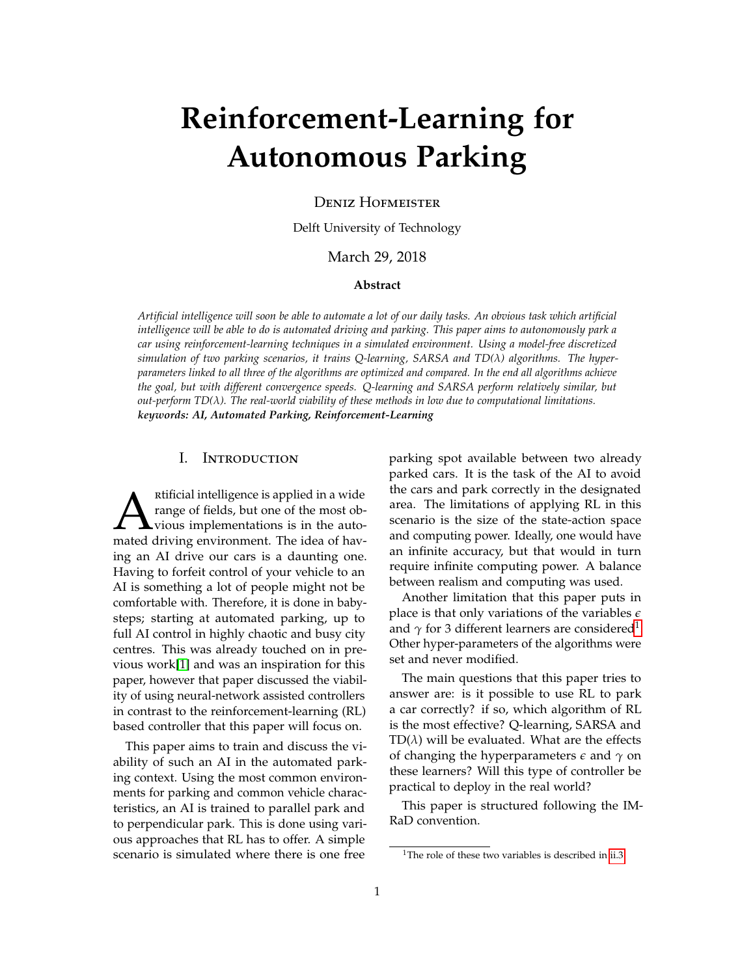# **Reinforcement-Learning for Autonomous Parking**

Deniz Hofmeister

Delft University of Technology

# March 29, 2018

## **Abstract**

*Artificial intelligence will soon be able to automate a lot of our daily tasks. An obvious task which artificial intelligence will be able to do is automated driving and parking. This paper aims to autonomously park a car using reinforcement-learning techniques in a simulated environment. Using a model-free discretized simulation of two parking scenarios, it trains Q-learning, SARSA and TD(λ) algorithms. The hyperparameters linked to all three of the algorithms are optimized and compared. In the end all algorithms achieve the goal, but with different convergence speeds. Q-learning and SARSA perform relatively similar, but out-perform TD(λ). The real-world viability of these methods in low due to computational limitations. keywords: AI, Automated Parking, Reinforcement-Learning*

#### I. Introduction

A ratificial intelligence is applied in a wide<br>range of fields, but one of the most ob-<br>mated driving environment. The idea of havrtificial intelligence is applied in a wide range of fields, but one of the most obvious implementations is in the autoing an AI drive our cars is a daunting one. Having to forfeit control of your vehicle to an AI is something a lot of people might not be comfortable with. Therefore, it is done in babysteps; starting at automated parking, up to full AI control in highly chaotic and busy city centres. This was already touched on in previous work[\[1\]](#page-8-0) and was an inspiration for this paper, however that paper discussed the viability of using neural-network assisted controllers in contrast to the reinforcement-learning (RL) based controller that this paper will focus on.

This paper aims to train and discuss the viability of such an AI in the automated parking context. Using the most common environments for parking and common vehicle characteristics, an AI is trained to parallel park and to perpendicular park. This is done using various approaches that RL has to offer. A simple scenario is simulated where there is one free

parking spot available between two already parked cars. It is the task of the AI to avoid the cars and park correctly in the designated area. The limitations of applying RL in this scenario is the size of the state-action space and computing power. Ideally, one would have an infinite accuracy, but that would in turn require infinite computing power. A balance between realism and computing was used.

Another limitation that this paper puts in place is that only variations of the variables *e* and  $\gamma$  for 3 different learners are considered<sup>[1](#page-0-0)</sup>. Other hyper-parameters of the algorithms were set and never modified.

The main questions that this paper tries to answer are: is it possible to use RL to park a car correctly? if so, which algorithm of RL is the most effective? Q-learning, SARSA and  $TD(\lambda)$  will be evaluated. What are the effects of changing the hyperparameters *e* and *γ* on these learners? Will this type of controller be practical to deploy in the real world?

This paper is structured following the IM-RaD convention.

<span id="page-0-0"></span><sup>&</sup>lt;sup>1</sup>The role of these two variables is described in [ii.3](#page-4-0)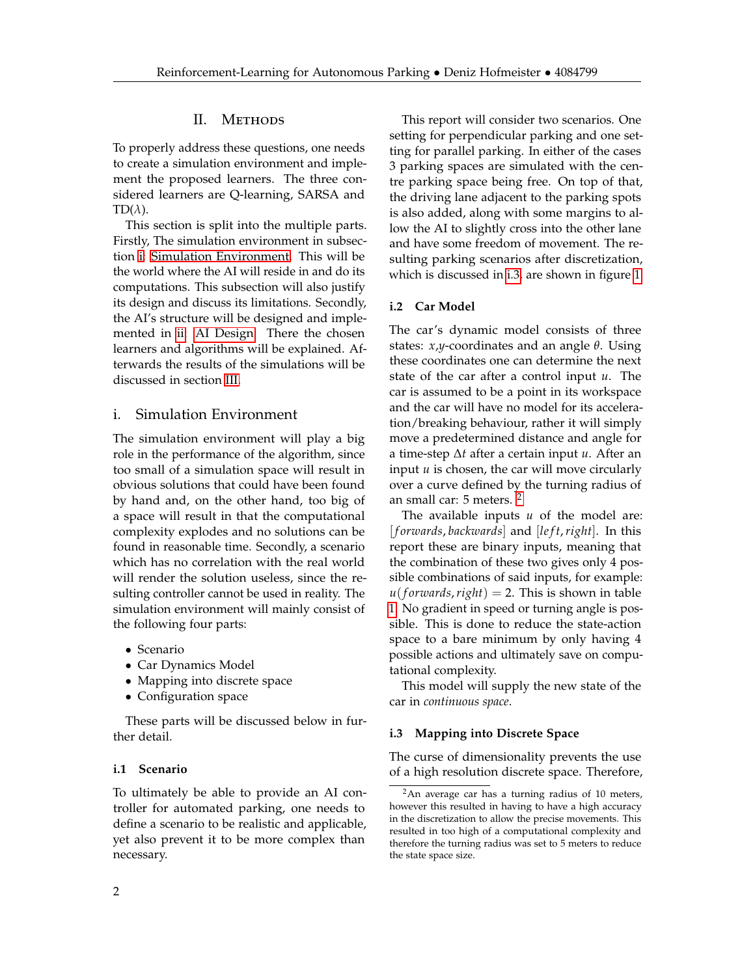## II. Methods

To properly address these questions, one needs to create a simulation environment and implement the proposed learners. The three considered learners are Q-learning, SARSA and  $TD(\lambda)$ .

This section is split into the multiple parts. Firstly, The simulation environment in subsection [i: Simulation Environment.](#page-1-0) This will be the world where the AI will reside in and do its computations. This subsection will also justify its design and discuss its limitations. Secondly, the AI's structure will be designed and implemented in [ii: AI Design.](#page-3-0) There the chosen learners and algorithms will be explained. Afterwards the results of the simulations will be discussed in section [III.](#page-4-1)

## <span id="page-1-0"></span>i. Simulation Environment

The simulation environment will play a big role in the performance of the algorithm, since too small of a simulation space will result in obvious solutions that could have been found by hand and, on the other hand, too big of a space will result in that the computational complexity explodes and no solutions can be found in reasonable time. Secondly, a scenario which has no correlation with the real world will render the solution useless, since the resulting controller cannot be used in reality. The simulation environment will mainly consist of the following four parts:

- Scenario
- Car Dynamics Model
- Mapping into discrete space
- Configuration space

These parts will be discussed below in further detail.

#### <span id="page-1-3"></span>**i.1 Scenario**

To ultimately be able to provide an AI controller for automated parking, one needs to define a scenario to be realistic and applicable, yet also prevent it to be more complex than necessary.

This report will consider two scenarios. One setting for perpendicular parking and one setting for parallel parking. In either of the cases 3 parking spaces are simulated with the centre parking space being free. On top of that, the driving lane adjacent to the parking spots is also added, along with some margins to allow the AI to slightly cross into the other lane and have some freedom of movement. The resulting parking scenarios after discretization, which is discussed in [i.3,](#page-1-1) are shown in figure [1.](#page-2-0)

#### <span id="page-1-4"></span>**i.2 Car Model**

The car's dynamic model consists of three states: *x*,*y*-coordinates and an angle *θ*. Using these coordinates one can determine the next state of the car after a control input *u*. The car is assumed to be a point in its workspace and the car will have no model for its acceleration/breaking behaviour, rather it will simply move a predetermined distance and angle for a time-step ∆*t* after a certain input *u*. After an input *u* is chosen, the car will move circularly over a curve defined by the turning radius of an small car: 5 meters. [2](#page-1-2)

The available inputs *u* of the model are: [ *f orwards*, *backwards*] and [*le f t*,*right*]. In this report these are binary inputs, meaning that the combination of these two gives only 4 possible combinations of said inputs, for example:  $u(forwards, right) = 2$ . This is shown in table [1.](#page-2-1) No gradient in speed or turning angle is possible. This is done to reduce the state-action space to a bare minimum by only having 4 possible actions and ultimately save on computational complexity.

This model will supply the new state of the car in *continuous space*.

#### <span id="page-1-1"></span>**i.3 Mapping into Discrete Space**

The curse of dimensionality prevents the use of a high resolution discrete space. Therefore,

<span id="page-1-2"></span> $2$ An average car has a turning radius of 10 meters, however this resulted in having to have a high accuracy in the discretization to allow the precise movements. This resulted in too high of a computational complexity and therefore the turning radius was set to 5 meters to reduce the state space size.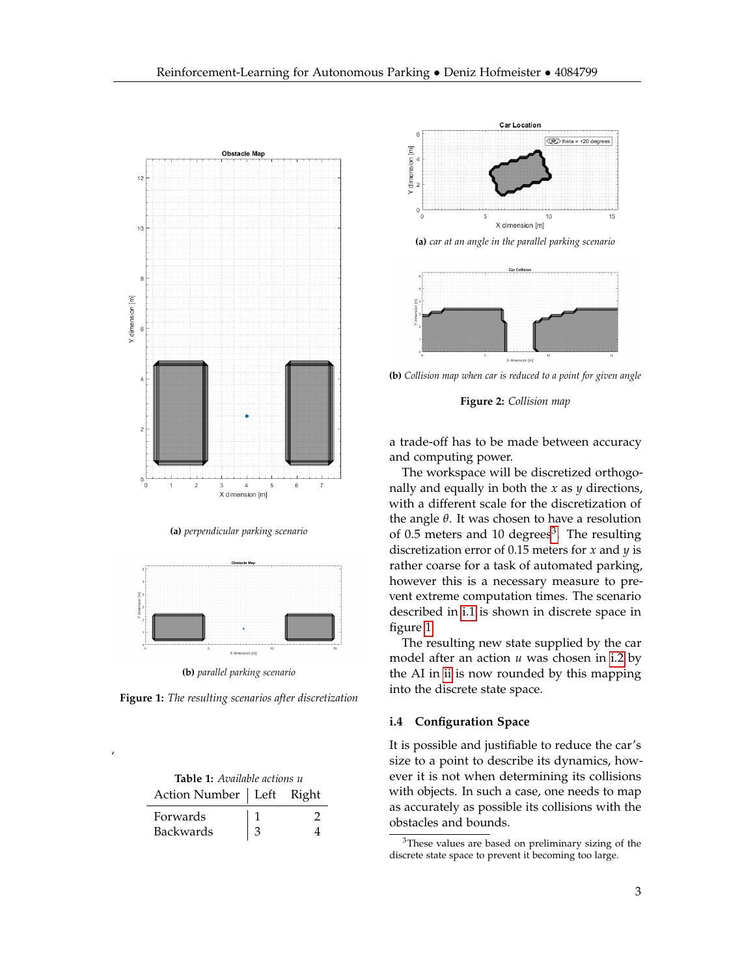<span id="page-2-0"></span>

**(a)** *perpendicular parking scenario*



**Figure 1:** *The resulting scenarios after discretization*

| <b>Table 1:</b> Available actions u |   |               |
|-------------------------------------|---|---------------|
| Action Number   Left Right          |   |               |
| <b>Forwards</b>                     |   | $\mathcal{L}$ |
| Backwards                           | 3 |               |

<span id="page-2-1"></span>'

<span id="page-2-3"></span>

**(a)** *car at an angle in the parallel parking scenario*



**(b)** *Collision map when car is reduced to a point for given angle*

**Figure 2:** *Collision map*

a trade-off has to be made between accuracy and computing power.

The workspace will be discretized orthogonally and equally in both the *x* as *y* directions, with a different scale for the discretization of the angle *θ*. It was chosen to have a resolution of 0.5 meters and 10 degrees<sup>[3](#page-2-2)</sup>. The resulting discretization error of 0.15 meters for *x* and *y* is rather coarse for a task of automated parking, however this is a necessary measure to prevent extreme computation times. The scenario described in [i.1](#page-1-3) is shown in discrete space in figure [1.](#page-2-0)

The resulting new state supplied by the car model after an action *u* was chosen in [i.2](#page-1-4) by the AI in [ii](#page-3-0) is now rounded by this mapping into the discrete state space.

#### **i.4 Configuration Space**

It is possible and justifiable to reduce the car's size to a point to describe its dynamics, however it is not when determining its collisions with objects. In such a case, one needs to map as accurately as possible its collisions with the obstacles and bounds.

<span id="page-2-2"></span><sup>3</sup>These values are based on preliminary sizing of the discrete state space to prevent it becoming too large.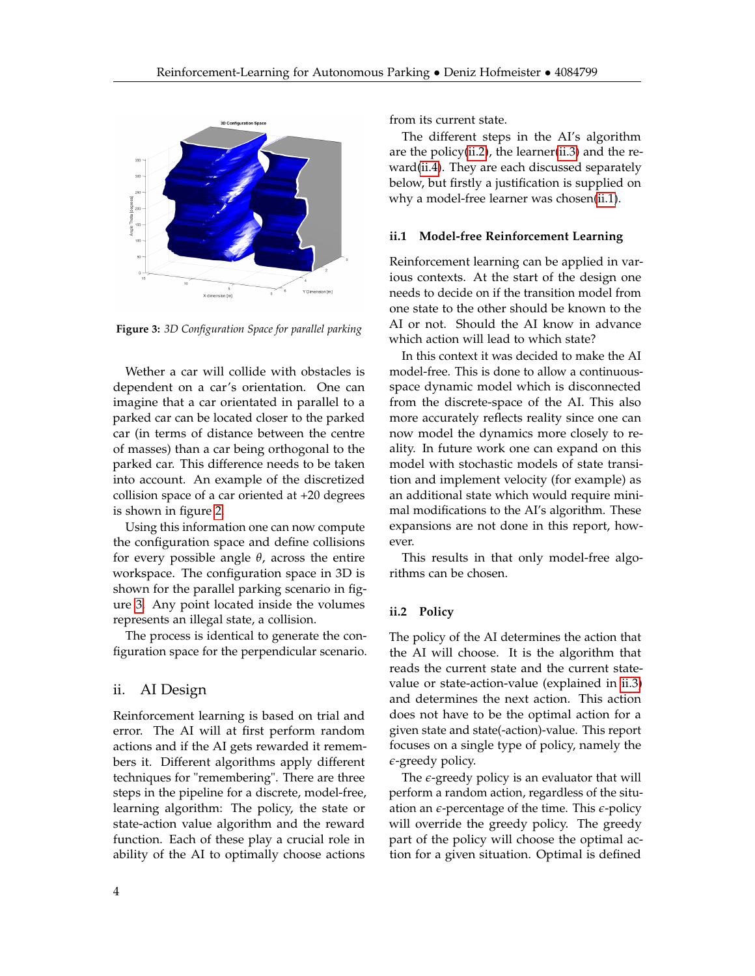<span id="page-3-1"></span>

**Figure 3:** *3D Configuration Space for parallel parking*

Wether a car will collide with obstacles is dependent on a car's orientation. One can imagine that a car orientated in parallel to a parked car can be located closer to the parked car (in terms of distance between the centre of masses) than a car being orthogonal to the parked car. This difference needs to be taken into account. An example of the discretized collision space of a car oriented at +20 degrees is shown in figure [2.](#page-2-3)

Using this information one can now compute the configuration space and define collisions for every possible angle *θ*, across the entire workspace. The configuration space in 3D is shown for the parallel parking scenario in figure [3.](#page-3-1) Any point located inside the volumes represents an illegal state, a collision.

The process is identical to generate the configuration space for the perpendicular scenario.

# <span id="page-3-0"></span>ii. AI Design

Reinforcement learning is based on trial and error. The AI will at first perform random actions and if the AI gets rewarded it remembers it. Different algorithms apply different techniques for "remembering". There are three steps in the pipeline for a discrete, model-free, learning algorithm: The policy, the state or state-action value algorithm and the reward function. Each of these play a crucial role in ability of the AI to optimally choose actions

from its current state.

The different steps in the AI's algorithm are the policy[\(ii.2\)](#page-3-2), the learner[\(ii.3\)](#page-4-0) and the reward[\(ii.4\)](#page-4-2). They are each discussed separately below, but firstly a justification is supplied on why a model-free learner was chosen[\(ii.1\)](#page-3-3).

#### <span id="page-3-3"></span>**ii.1 Model-free Reinforcement Learning**

Reinforcement learning can be applied in various contexts. At the start of the design one needs to decide on if the transition model from one state to the other should be known to the AI or not. Should the AI know in advance which action will lead to which state?

In this context it was decided to make the AI model-free. This is done to allow a continuousspace dynamic model which is disconnected from the discrete-space of the AI. This also more accurately reflects reality since one can now model the dynamics more closely to reality. In future work one can expand on this model with stochastic models of state transition and implement velocity (for example) as an additional state which would require minimal modifications to the AI's algorithm. These expansions are not done in this report, however.

This results in that only model-free algorithms can be chosen.

#### <span id="page-3-2"></span>**ii.2 Policy**

The policy of the AI determines the action that the AI will choose. It is the algorithm that reads the current state and the current statevalue or state-action-value (explained in [ii.3\)](#page-4-0) and determines the next action. This action does not have to be the optimal action for a given state and state(-action)-value. This report focuses on a single type of policy, namely the *e*-greedy policy.

The  $\epsilon$ -greedy policy is an evaluator that will perform a random action, regardless of the situation an *e*-percentage of the time. This *e*-policy will override the greedy policy. The greedy part of the policy will choose the optimal action for a given situation. Optimal is defined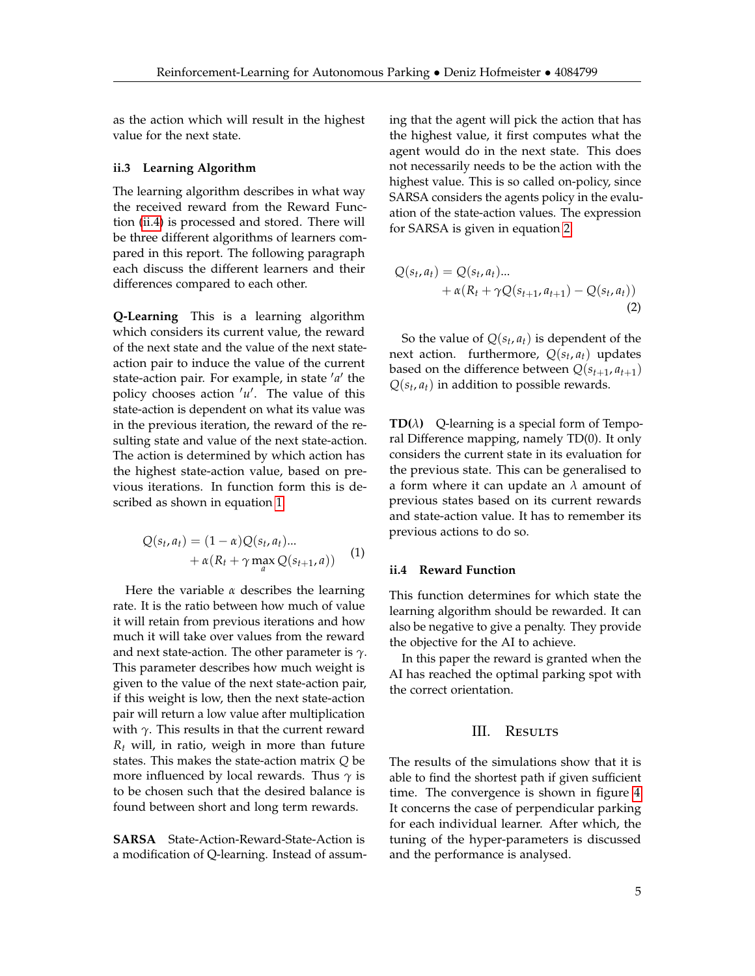as the action which will result in the highest value for the next state.

#### <span id="page-4-0"></span>**ii.3 Learning Algorithm**

The learning algorithm describes in what way the received reward from the Reward Function [\(ii.4\)](#page-4-2) is processed and stored. There will be three different algorithms of learners compared in this report. The following paragraph each discuss the different learners and their differences compared to each other.

**Q-Learning** This is a learning algorithm which considers its current value, the reward of the next state and the value of the next stateaction pair to induce the value of the current state-action pair. For example, in state 'a' the policy chooses action 'u'. The value of this state-action is dependent on what its value was in the previous iteration, the reward of the resulting state and value of the next state-action. The action is determined by which action has the highest state-action value, based on previous iterations. In function form this is described as shown in equation [1.](#page-4-3)

<span id="page-4-3"></span>
$$
Q(s_t, a_t) = (1 - \alpha)Q(s_t, a_t) \dots
$$
  
+  $\alpha(R_t + \gamma \max_a Q(s_{t+1}, a))$  (1)

Here the variable *α* describes the learning rate. It is the ratio between how much of value it will retain from previous iterations and how much it will take over values from the reward and next state-action. The other parameter is *γ*. This parameter describes how much weight is given to the value of the next state-action pair, if this weight is low, then the next state-action pair will return a low value after multiplication with  $\gamma$ . This results in that the current reward *R<sup>t</sup>* will, in ratio, weigh in more than future states. This makes the state-action matrix *Q* be more influenced by local rewards. Thus *γ* is to be chosen such that the desired balance is found between short and long term rewards.

**SARSA** State-Action-Reward-State-Action is a modification of Q-learning. Instead of assuming that the agent will pick the action that has the highest value, it first computes what the agent would do in the next state. This does not necessarily needs to be the action with the highest value. This is so called on-policy, since SARSA considers the agents policy in the evaluation of the state-action values. The expression for SARSA is given in equation [2.](#page-4-4)

<span id="page-4-4"></span>
$$
Q(s_t, a_t) = Q(s_t, a_t) ... + \alpha (R_t + \gamma Q(s_{t+1}, a_{t+1}) - Q(s_t, a_t)) (2)
$$

So the value of  $Q(s_t, a_t)$  is dependent of the next action. furthermore, *Q*(*s<sup>t</sup>* , *at*) updates based on the difference between  $Q(s_{t+1}, a_{t+1})$  $Q(s_t, a_t)$  in addition to possible rewards.

**TD(** $\lambda$ **)** Q-learning is a special form of Temporal Difference mapping, namely TD(0). It only considers the current state in its evaluation for the previous state. This can be generalised to a form where it can update an *λ* amount of previous states based on its current rewards and state-action value. It has to remember its previous actions to do so.

## <span id="page-4-2"></span>**ii.4 Reward Function**

This function determines for which state the learning algorithm should be rewarded. It can also be negative to give a penalty. They provide the objective for the AI to achieve.

In this paper the reward is granted when the AI has reached the optimal parking spot with the correct orientation.

## III. Results

<span id="page-4-1"></span>The results of the simulations show that it is able to find the shortest path if given sufficient time. The convergence is shown in figure [4.](#page-5-0) It concerns the case of perpendicular parking for each individual learner. After which, the tuning of the hyper-parameters is discussed and the performance is analysed.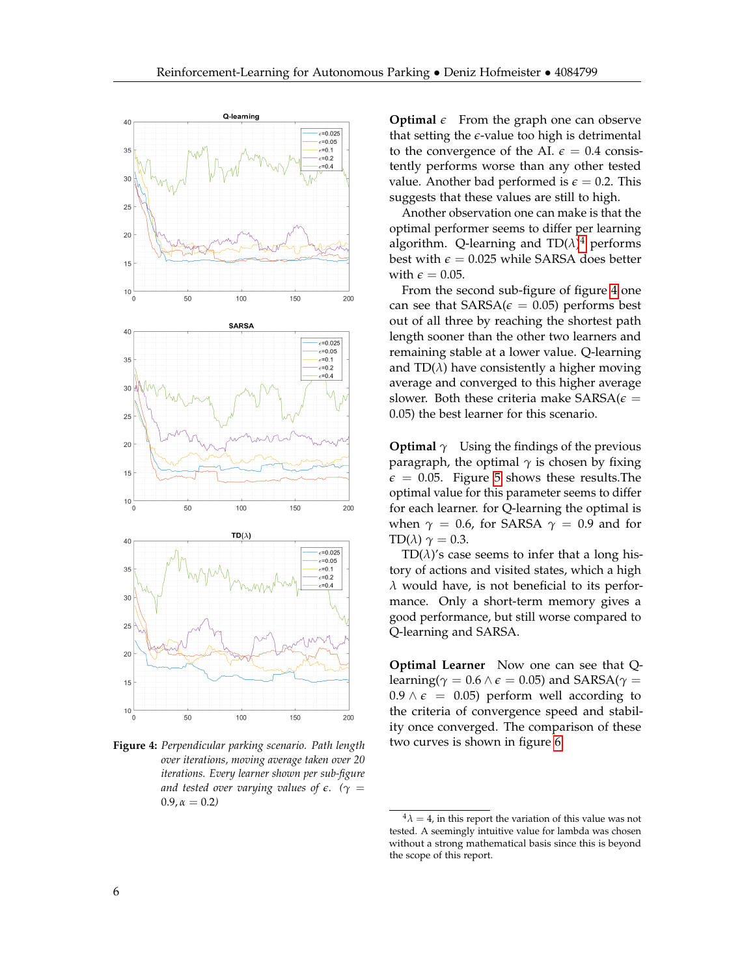<span id="page-5-0"></span>

**Figure 4:** *Perpendicular parking scenario. Path length over iterations, moving average taken over 20 iterations. Every learner shown per sub-figure and tested over varying values of*  $\epsilon$ *.* ( $\gamma$  =  $0.9, \alpha = 0.2$ 

**Optimal**  $\epsilon$  From the graph one can observe that setting the  $\epsilon$ -value too high is detrimental to the convergence of the AI.  $\epsilon = 0.4$  consistently performs worse than any other tested value. Another bad performed is  $\epsilon = 0.2$ . This suggests that these values are still to high.

Another observation one can make is that the optimal performer seems to differ per learning algorithm. Q-learning and TD(*λ*) [4](#page-5-1) performs best with  $\epsilon$  = 0.025 while SARSA does better with  $\epsilon = 0.05$ .

From the second sub-figure of figure [4](#page-5-0) one can see that  $SARSA(\epsilon = 0.05)$  performs best out of all three by reaching the shortest path length sooner than the other two learners and remaining stable at a lower value. Q-learning and  $TD(\lambda)$  have consistently a higher moving average and converged to this higher average slower. Both these criteria make  $SARSA(\epsilon =$ 0.05) the best learner for this scenario.

**Optimal**  $\gamma$  Using the findings of the previous paragraph, the optimal  $\gamma$  is chosen by fixing  $\epsilon$  = 0.05. Figure [5](#page-6-0) shows these results. The optimal value for this parameter seems to differ for each learner. for Q-learning the optimal is when  $\gamma = 0.6$ , for SARSA  $\gamma = 0.9$  and for TD( $\lambda$ )  $\gamma = 0.3$ .

TD( $\lambda$ )'s case seems to infer that a long history of actions and visited states, which a high *λ* would have, is not beneficial to its performance. Only a short-term memory gives a good performance, but still worse compared to Q-learning and SARSA.

**Optimal Learner** Now one can see that Qlearning( $\gamma = 0.6 \land \epsilon = 0.05$ ) and SARSA( $\gamma =$  $0.9 \wedge \epsilon = 0.05$ ) perform well according to the criteria of convergence speed and stability once converged. The comparison of these two curves is shown in figure [6.](#page-6-1)

<span id="page-5-1"></span> $4\lambda = 4$ , in this report the variation of this value was not tested. A seemingly intuitive value for lambda was chosen without a strong mathematical basis since this is beyond the scope of this report.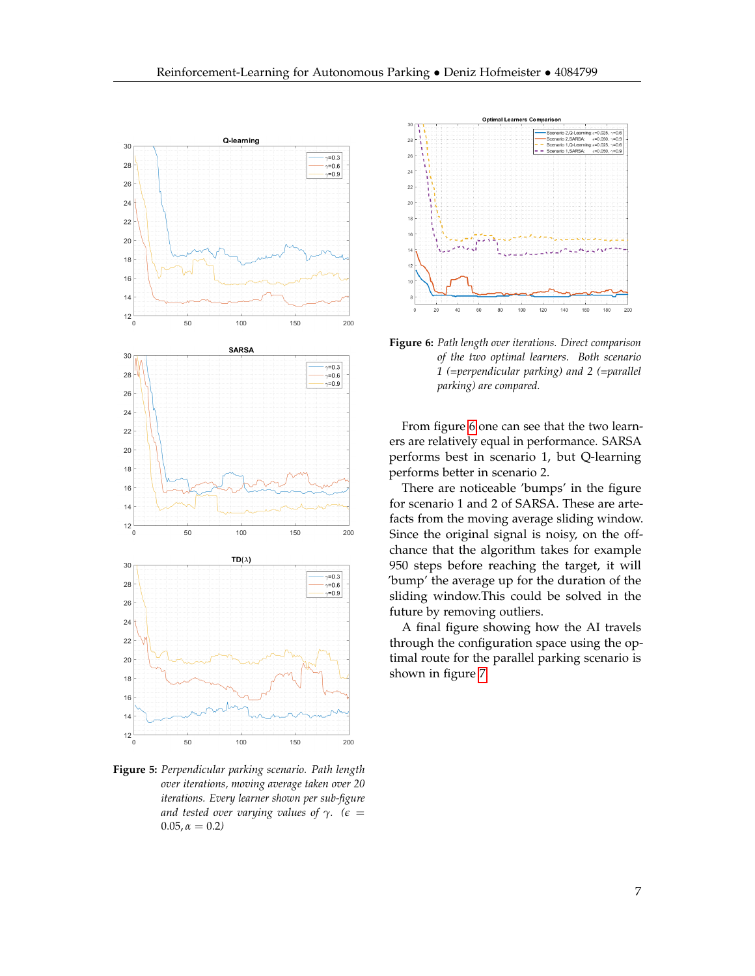<span id="page-6-0"></span>

**Figure 5:** *Perpendicular parking scenario. Path length over iterations, moving average taken over 20 iterations. Every learner shown per sub-figure and tested over varying values of*  $\gamma$ *.* ( $\epsilon$  =  $0.05, \alpha = 0.2$ 

<span id="page-6-1"></span>

**Figure 6:** *Path length over iterations. Direct comparison of the two optimal learners. Both scenario 1 (=perpendicular parking) and 2 (=parallel parking) are compared.*

From figure [6](#page-6-1) one can see that the two learners are relatively equal in performance. SARSA performs best in scenario 1, but Q-learning performs better in scenario 2.

There are noticeable 'bumps' in the figure for scenario 1 and 2 of SARSA. These are artefacts from the moving average sliding window. Since the original signal is noisy, on the offchance that the algorithm takes for example 950 steps before reaching the target, it will 'bump' the average up for the duration of the sliding window.This could be solved in the future by removing outliers.

A final figure showing how the AI travels through the configuration space using the optimal route for the parallel parking scenario is shown in figure [7.](#page-7-0)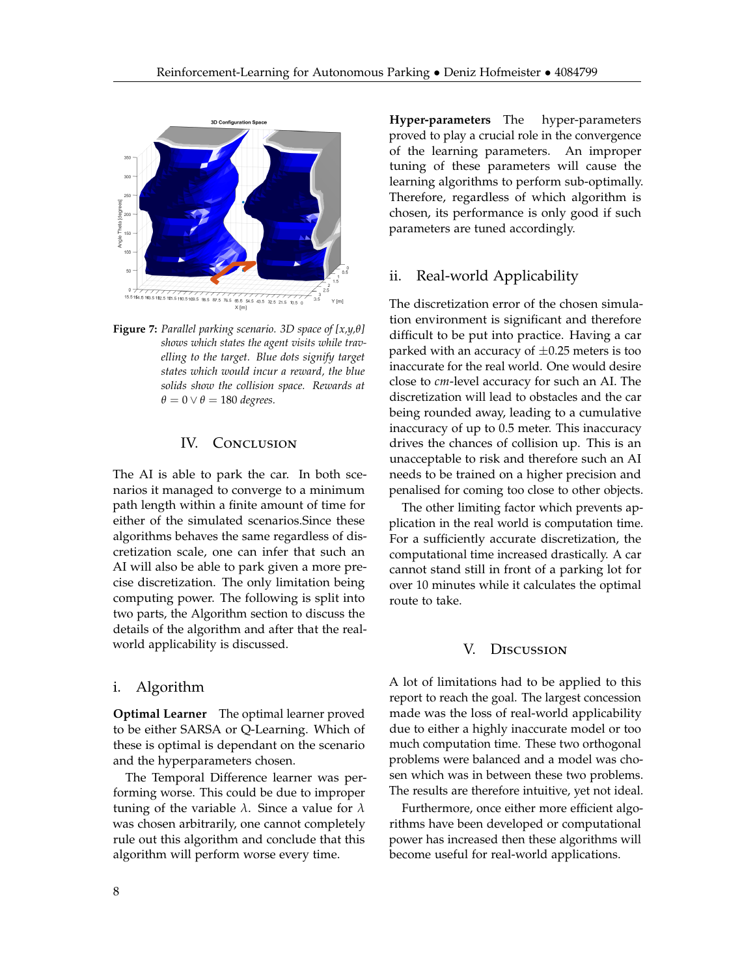<span id="page-7-0"></span>

**Figure 7:** *Parallel parking scenario. 3D space of [x,y,θ] shows which states the agent visits while travelling to the target. Blue dots signify target states which would incur a reward, the blue solids show the collision space. Rewards at*  $\theta = 0 \vee \theta = 180$  *degrees.* 

## IV. CONCLUSION

The AI is able to park the car. In both scenarios it managed to converge to a minimum path length within a finite amount of time for either of the simulated scenarios.Since these algorithms behaves the same regardless of discretization scale, one can infer that such an AI will also be able to park given a more precise discretization. The only limitation being computing power. The following is split into two parts, the Algorithm section to discuss the details of the algorithm and after that the realworld applicability is discussed.

# i. Algorithm

**Optimal Learner** The optimal learner proved to be either SARSA or Q-Learning. Which of these is optimal is dependant on the scenario and the hyperparameters chosen.

The Temporal Difference learner was performing worse. This could be due to improper tuning of the variable *λ*. Since a value for *λ* was chosen arbitrarily, one cannot completely rule out this algorithm and conclude that this algorithm will perform worse every time.

**Hyper-parameters** The hyper-parameters proved to play a crucial role in the convergence of the learning parameters. An improper tuning of these parameters will cause the learning algorithms to perform sub-optimally. Therefore, regardless of which algorithm is chosen, its performance is only good if such parameters are tuned accordingly.

# ii. Real-world Applicability

The discretization error of the chosen simulation environment is significant and therefore difficult to be put into practice. Having a car parked with an accuracy of  $\pm 0.25$  meters is too inaccurate for the real world. One would desire close to *cm*-level accuracy for such an AI. The discretization will lead to obstacles and the car being rounded away, leading to a cumulative inaccuracy of up to 0.5 meter. This inaccuracy drives the chances of collision up. This is an unacceptable to risk and therefore such an AI needs to be trained on a higher precision and penalised for coming too close to other objects.

The other limiting factor which prevents application in the real world is computation time. For a sufficiently accurate discretization, the computational time increased drastically. A car cannot stand still in front of a parking lot for over 10 minutes while it calculates the optimal route to take.

#### V. Discussion

A lot of limitations had to be applied to this report to reach the goal. The largest concession made was the loss of real-world applicability due to either a highly inaccurate model or too much computation time. These two orthogonal problems were balanced and a model was chosen which was in between these two problems. The results are therefore intuitive, yet not ideal.

Furthermore, once either more efficient algorithms have been developed or computational power has increased then these algorithms will become useful for real-world applications.